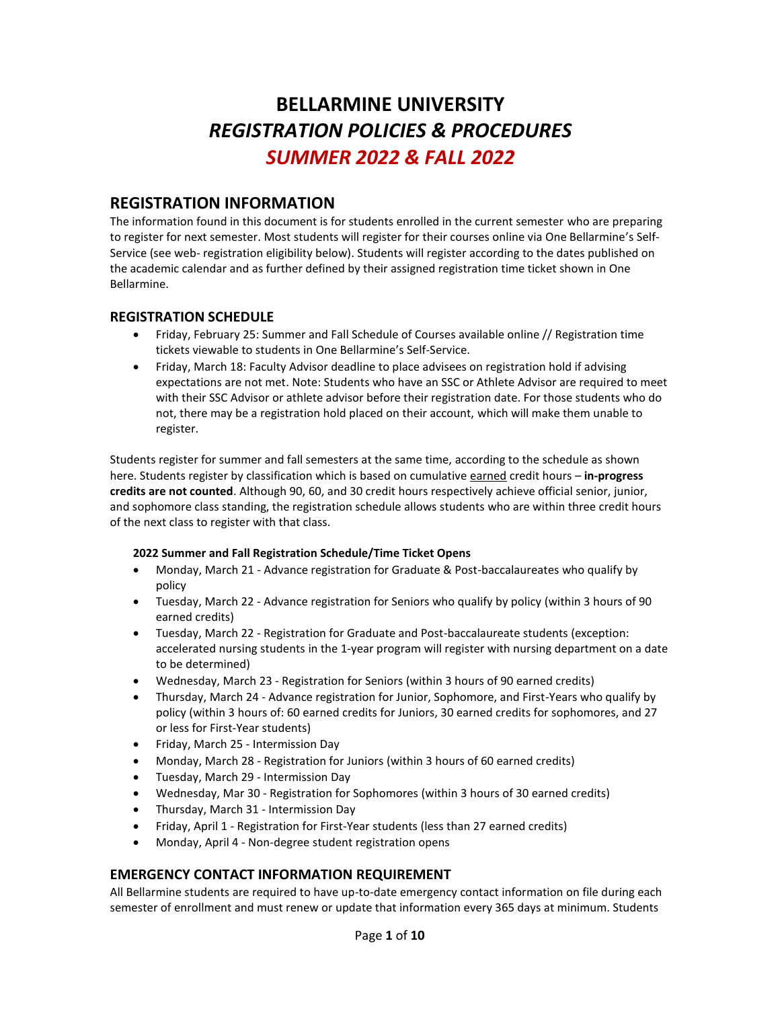# **BELLARMINE UNIVERSITY** *REGISTRATION POLICIES & PROCEDURES SUMMER 2022 & FALL 2022*

# **REGISTRATION INFORMATION**

The information found in this document is for students enrolled in the current semester who are preparing to register for next semester. Most students will register for their courses online via One Bellarmine's Self-Service (see web- registration eligibility below). Students will register according to the dates published on the academic calendar and as further defined by their assigned registration time ticket shown in One Bellarmine.

## **REGISTRATION SCHEDULE**

- Friday, February 25: Summer and Fall Schedule of Courses available online // Registration time tickets viewable to students in One Bellarmine's Self-Service.
- Friday, March 18: Faculty Advisor deadline to place advisees on registration hold if advising expectations are not met. Note: Students who have an SSC or Athlete Advisor are required to meet with their SSC Advisor or athlete advisor before their registration date. For those students who do not, there may be a registration hold placed on their account, which will make them unable to register.

Students register for summer and fall semesters at the same time, according to the schedule as shown here. Students register by classification which is based on cumulative earned credit hours - in-progress **credits are not counted**. Although 90, 60, and 30 credit hours respectively achieve official senior, junior, and sophomore class standing, the registration schedule allows students who are within three credit hours of the next class to register with that class.

#### **2022 Summer and Fall Registration Schedule/Time Ticket Opens**

- Monday, March 21 Advance registration for Graduate & Post-baccalaureates who qualify by policy
- Tuesday, March 22 Advance registration for Seniors who qualify by policy (within 3 hours of 90 earned credits)
- Tuesday, March 22 Registration for Graduate and Post-baccalaureate students (exception: accelerated nursing students in the 1-year program will register with nursing department on a date to be determined)
- Wednesday, March 23 Registration for Seniors (within 3 hours of 90 earned credits)
- Thursday, March 24 Advance registration for Junior, Sophomore, and First-Years who qualify by policy (within 3 hours of: 60 earned credits for Juniors, 30 earned credits for sophomores, and 27 or less for First-Year students)
- Friday, March 25 Intermission Day
- Monday, March 28 Registration for Juniors (within 3 hours of 60 earned credits)
- Tuesday, March 29 Intermission Day
- Wednesday, Mar 30 Registration for Sophomores (within 3 hours of 30 earned credits)
- Thursday, March 31 Intermission Day
- Friday, April 1 Registration for First-Year students (less than 27 earned credits)
- Monday, April 4 Non-degree student registration opens

# **EMERGENCY CONTACT INFORMATION REQUIREMENT**

All Bellarmine students are required to have up-to-date emergency contact information on file during each semester of enrollment and must renew or update that information every 365 days at minimum. Students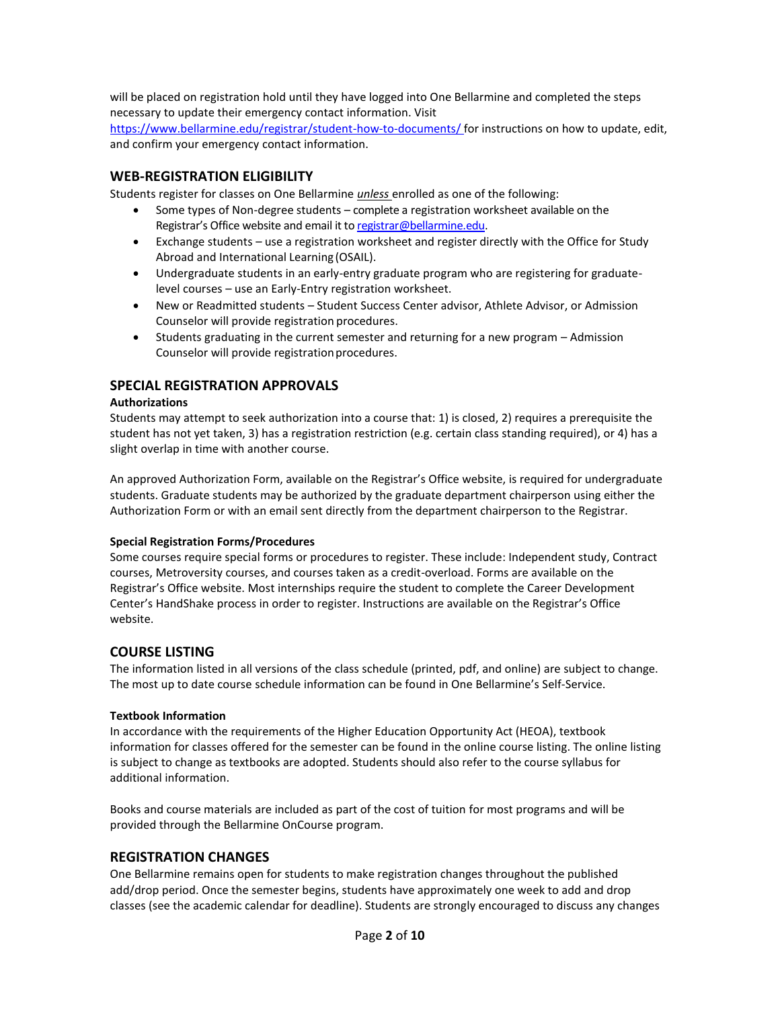will be placed on registration hold until they have logged into One Bellarmine and completed the steps necessary to update their emergency contact information. Visit

[https://www.bellarmine.edu/registrar/student-how-to-documents/ f](https://www.bellarmine.edu/registrar/student-how-to-documents/)or instructions on how to update, edit, and confirm your emergency contact information.

#### **WEB-REGISTRATION ELIGIBILITY**

Students register for classes on One Bellarmine *unless* enrolled as one of the following:

- Some types of Non-degree students complete a registration worksheet available on the Registrar's Office website and email it to [registrar@bellarmine.edu.](mailto:registrar@bellarmine.edu)
- Exchange students use a registration worksheet and register directly with the Office for Study Abroad and International Learning (OSAIL).
- Undergraduate students in an early-entry graduate program who are registering for graduatelevel courses – use an Early-Entry registration worksheet.
- New or Readmitted students Student Success Center advisor, Athlete Advisor, or Admission Counselor will provide registration procedures.
- Students graduating in the current semester and returning for a new program Admission Counselor will provide registration procedures.

#### **SPECIAL REGISTRATION APPROVALS**

#### **Authorizations**

Students may attempt to seek authorization into a course that: 1) is closed, 2) requires a prerequisite the student has not yet taken, 3) has a registration restriction (e.g. certain class standing required), or 4) has a slight overlap in time with another course.

An approved Authorization Form, available on the Registrar's Office website, is required for undergraduate students. Graduate students may be authorized by the graduate department chairperson using either the Authorization Form or with an email sent directly from the department chairperson to the Registrar.

#### **Special Registration Forms/Procedures**

Some courses require special forms or procedures to register. These include: Independent study, Contract courses, Metroversity courses, and courses taken as a credit-overload. Forms are available on the Registrar's Office website. Most internships require the student to complete the Career Development Center's HandShake process in order to register. Instructions are available on the Registrar's Office website.

#### **COURSE LISTING**

The information listed in all versions of the class schedule (printed, pdf, and online) are subject to change. The most up to date course schedule information can be found in One Bellarmine's Self-Service.

#### **Textbook Information**

In accordance with the requirements of the Higher Education Opportunity Act (HEOA), textbook information for classes offered for the semester can be found in the online course listing. The online listing is subject to change as textbooks are adopted. Students should also refer to the course syllabus for additional information.

Books and course materials are included as part of the cost of tuition for most programs and will be provided through the Bellarmine OnCourse program.

#### **REGISTRATION CHANGES**

One Bellarmine remains open for students to make registration changes throughout the published add/drop period. Once the semester begins, students have approximately one week to add and drop classes (see the academic calendar for deadline). Students are strongly encouraged to discuss any changes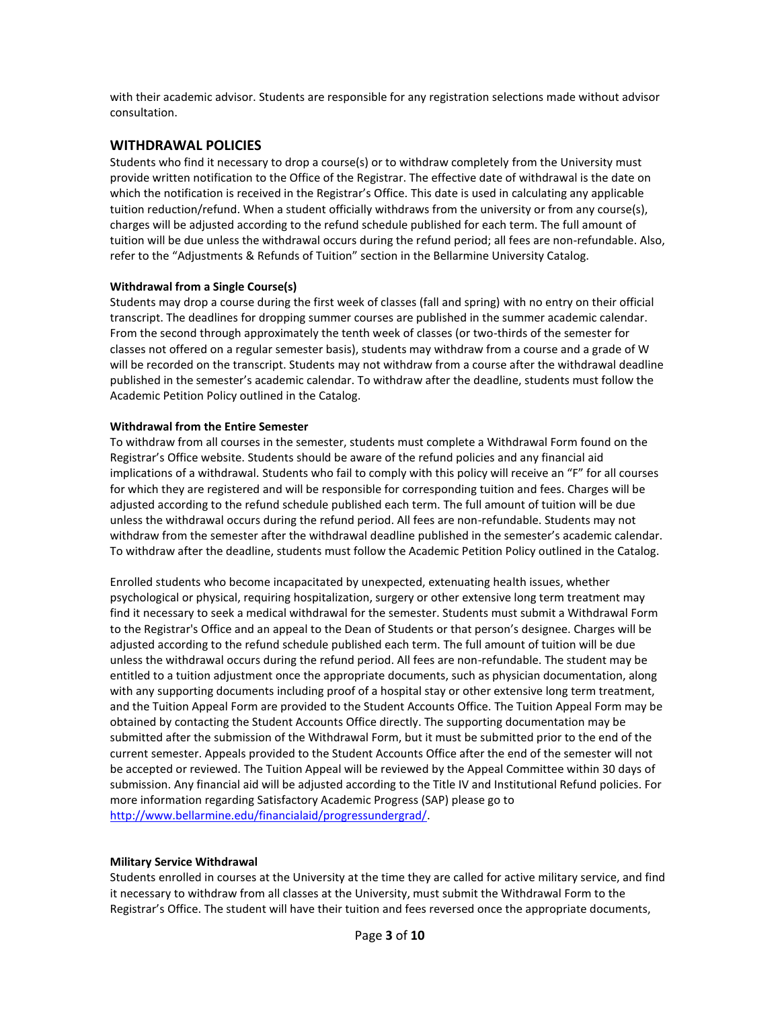with their academic advisor. Students are responsible for any registration selections made without advisor consultation.

#### **WITHDRAWAL POLICIES**

Students who find it necessary to drop a course(s) or to withdraw completely from the University must provide written notification to the Office of the Registrar. The effective date of withdrawal is the date on which the notification is received in the Registrar's Office. This date is used in calculating any applicable tuition reduction/refund. When a student officially withdraws from the university or from any course(s), charges will be adjusted according to the refund schedule published for each term. The full amount of tuition will be due unless the withdrawal occurs during the refund period; all fees are non-refundable. Also, refer to the "Adjustments & Refunds of Tuition" section in the Bellarmine University Catalog.

#### **Withdrawal from a Single Course(s)**

Students may drop a course during the first week of classes (fall and spring) with no entry on their official transcript. The deadlines for dropping summer courses are published in the summer academic calendar. From the second through approximately the tenth week of classes (or two-thirds of the semester for classes not offered on a regular semester basis), students may withdraw from a course and a grade of W will be recorded on the transcript. Students may not withdraw from a course after the withdrawal deadline published in the semester's academic calendar. To withdraw after the deadline, students must follow the Academic Petition Policy outlined in the Catalog.

#### **Withdrawal from the Entire Semester**

To withdraw from all courses in the semester, students must complete a Withdrawal Form found on the Registrar's Office website. Students should be aware of the refund policies and any financial aid implications of a withdrawal. Students who fail to comply with this policy will receive an "F" for all courses for which they are registered and will be responsible for corresponding tuition and fees. Charges will be adjusted according to the refund schedule published each term. The full amount of tuition will be due unless the withdrawal occurs during the refund period. All fees are non-refundable. Students may not withdraw from the semester after the withdrawal deadline published in the semester's academic calendar. To withdraw after the deadline, students must follow the Academic Petition Policy outlined in the Catalog.

Enrolled students who become incapacitated by unexpected, extenuating health issues, whether psychological or physical, requiring hospitalization, surgery or other extensive long term treatment may find it necessary to seek a medical withdrawal for the semester. Students must submit a Withdrawal Form to the Registrar's Office and an appeal to the Dean of Students or that person's designee. Charges will be adjusted according to the refund schedule published each term. The full amount of tuition will be due unless the withdrawal occurs during the refund period. All fees are non-refundable. The student may be entitled to a tuition adjustment once the appropriate documents, such as physician documentation, along with any supporting documents including proof of a hospital stay or other extensive long term treatment, and the Tuition Appeal Form are provided to the Student Accounts Office. The Tuition Appeal Form may be obtained by contacting the Student Accounts Office directly. The supporting documentation may be submitted after the submission of the Withdrawal Form, but it must be submitted prior to the end of the current semester. Appeals provided to the Student Accounts Office after the end of the semester will not be accepted or reviewed. The Tuition Appeal will be reviewed by the Appeal Committee within 30 days of submission. Any financial aid will be adjusted according to the Title IV and Institutional Refund policies. For more information regarding Satisfactory Academic Progress (SAP) please go to [http://www.bellarmine.edu/financialaid/progressundergrad/.](http://www.bellarmine.edu/financialaid/progressundergrad/)

#### **Military Service Withdrawal**

Students enrolled in courses at the University at the time they are called for active military service, and find it necessary to withdraw from all classes at the University, must submit the Withdrawal Form to the Registrar's Office. The student will have their tuition and fees reversed once the appropriate documents,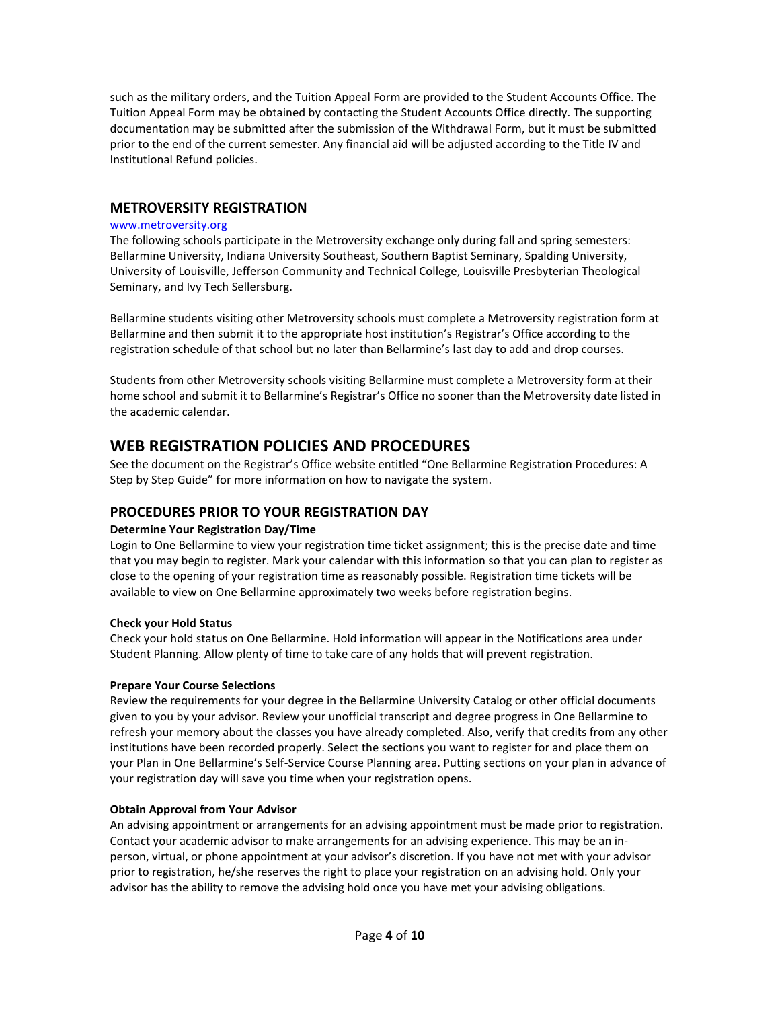such as the military orders, and the Tuition Appeal Form are provided to the Student Accounts Office. The Tuition Appeal Form may be obtained by contacting the Student Accounts Office directly. The supporting documentation may be submitted after the submission of the Withdrawal Form, but it must be submitted prior to the end of the current semester. Any financial aid will be adjusted according to the Title IV and Institutional Refund policies.

#### **METROVERSITY REGISTRATION**

#### [www.metroversity.org](http://www.metroversity.org/)

The following schools participate in the Metroversity exchange only during fall and spring semesters: Bellarmine University, Indiana University Southeast, Southern Baptist Seminary, Spalding University, University of Louisville, Jefferson Community and Technical College, Louisville Presbyterian Theological Seminary, and Ivy Tech Sellersburg.

Bellarmine students visiting other Metroversity schools must complete a Metroversity registration form at Bellarmine and then submit it to the appropriate host institution's Registrar's Office according to the registration schedule of that school but no later than Bellarmine's last day to add and drop courses.

Students from other Metroversity schools visiting Bellarmine must complete a Metroversity form at their home school and submit it to Bellarmine's Registrar's Office no sooner than the Metroversity date listed in the academic calendar.

# **WEB REGISTRATION POLICIES AND PROCEDURES**

See the document on the Registrar's Office website entitled "One Bellarmine Registration Procedures: A Step by Step Guide" for more information on how to navigate the system.

#### **PROCEDURES PRIOR TO YOUR REGISTRATION DAY**

#### **Determine Your Registration Day/Time**

Login to One Bellarmine to view your registration time ticket assignment; this is the precise date and time that you may begin to register. Mark your calendar with this information so that you can plan to register as close to the opening of your registration time as reasonably possible. Registration time tickets will be available to view on One Bellarmine approximately two weeks before registration begins.

#### **Check your Hold Status**

Check your hold status on One Bellarmine. Hold information will appear in the Notifications area under Student Planning. Allow plenty of time to take care of any holds that will prevent registration.

#### **Prepare Your Course Selections**

Review the requirements for your degree in the Bellarmine University Catalog or other official documents given to you by your advisor. Review your unofficial transcript and degree progress in One Bellarmine to refresh your memory about the classes you have already completed. Also, verify that credits from any other institutions have been recorded properly. Select the sections you want to register for and place them on your Plan in One Bellarmine's Self-Service Course Planning area. Putting sections on your plan in advance of your registration day will save you time when your registration opens.

#### **Obtain Approval from Your Advisor**

An advising appointment or arrangements for an advising appointment must be made prior to registration. Contact your academic advisor to make arrangements for an advising experience. This may be an inperson, virtual, or phone appointment at your advisor's discretion. If you have not met with your advisor prior to registration, he/she reserves the right to place your registration on an advising hold. Only your advisor has the ability to remove the advising hold once you have met your advising obligations.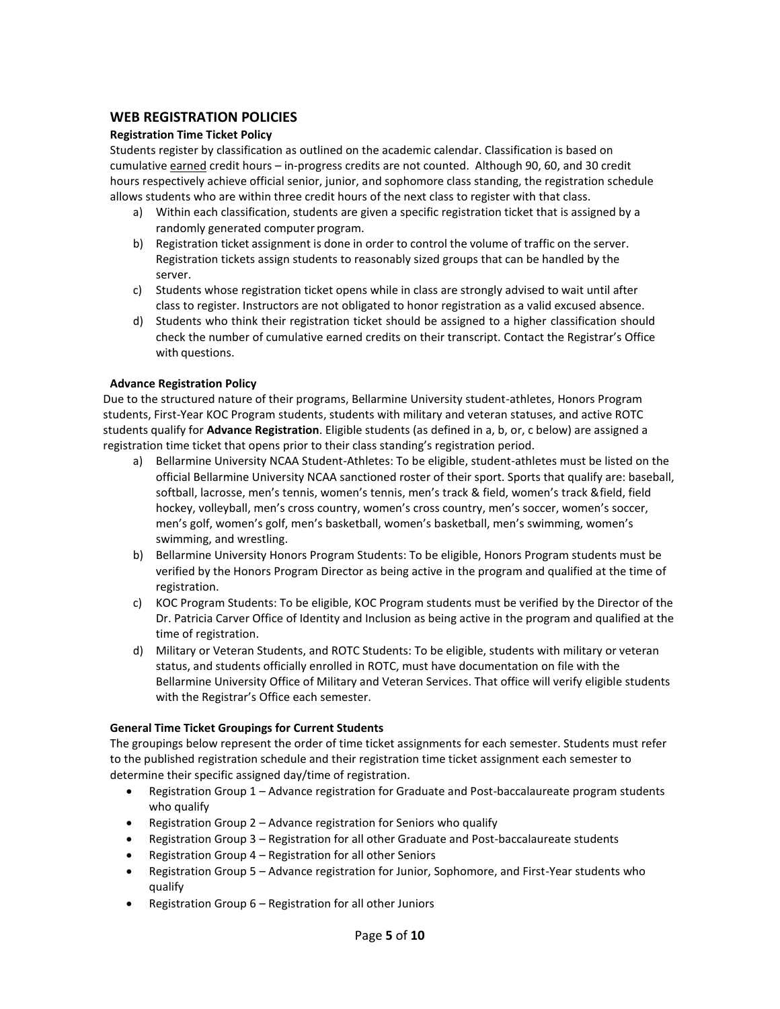#### **WEB REGISTRATION POLICIES**

#### **Registration Time Ticket Policy**

Students register by classification as outlined on the academic calendar. Classification is based on cumulative earned credit hours – in-progress credits are not counted. Although 90, 60, and 30 credit hours respectively achieve official senior, junior, and sophomore class standing, the registration schedule allows students who are within three credit hours of the next class to register with that class.

- a) Within each classification, students are given a specific registration ticket that is assigned by a randomly generated computer program.
- b) Registration ticket assignment is done in order to control the volume of traffic on the server. Registration tickets assign students to reasonably sized groups that can be handled by the server.
- c) Students whose registration ticket opens while in class are strongly advised to wait until after class to register. Instructors are not obligated to honor registration as a valid excused absence.
- d) Students who think their registration ticket should be assigned to a higher classification should check the number of cumulative earned credits on their transcript. Contact the Registrar's Office with questions.

#### **Advance Registration Policy**

Due to the structured nature of their programs, Bellarmine University student-athletes, Honors Program students, First-Year KOC Program students, students with military and veteran statuses, and active ROTC students qualify for **Advance Registration**. Eligible students (as defined in a, b, or, c below) are assigned a registration time ticket that opens prior to their class standing's registration period.

- a) Bellarmine University NCAA Student-Athletes: To be eligible, student-athletes must be listed on the official Bellarmine University NCAA sanctioned roster of their sport. Sports that qualify are: baseball, softball, lacrosse, men's tennis, women's tennis, men's track & field, women's track &field, field hockey, volleyball, men's cross country, women's cross country, men's soccer, women's soccer, men's golf, women's golf, men's basketball, women's basketball, men's swimming, women's swimming, and wrestling.
- b) Bellarmine University Honors Program Students: To be eligible, Honors Program students must be verified by the Honors Program Director as being active in the program and qualified at the time of registration.
- c) KOC Program Students: To be eligible, KOC Program students must be verified by the Director of the Dr. Patricia Carver Office of Identity and Inclusion as being active in the program and qualified at the time of registration.
- d) Military or Veteran Students, and ROTC Students: To be eligible, students with military or veteran status, and students officially enrolled in ROTC, must have documentation on file with the Bellarmine University Office of Military and Veteran Services. That office will verify eligible students with the Registrar's Office each semester.

#### **General Time Ticket Groupings for Current Students**

The groupings below represent the order of time ticket assignments for each semester. Students must refer to the published registration schedule and their registration time ticket assignment each semester to determine their specific assigned day/time of registration.

- Registration Group 1 Advance registration for Graduate and Post-baccalaureate program students who qualify
- Registration Group 2 Advance registration for Seniors who qualify
- Registration Group 3 Registration for all other Graduate and Post-baccalaureate students
- Registration Group 4 Registration for all other Seniors
- Registration Group 5 Advance registration for Junior, Sophomore, and First-Year students who qualify
- Registration Group 6 Registration for all other Juniors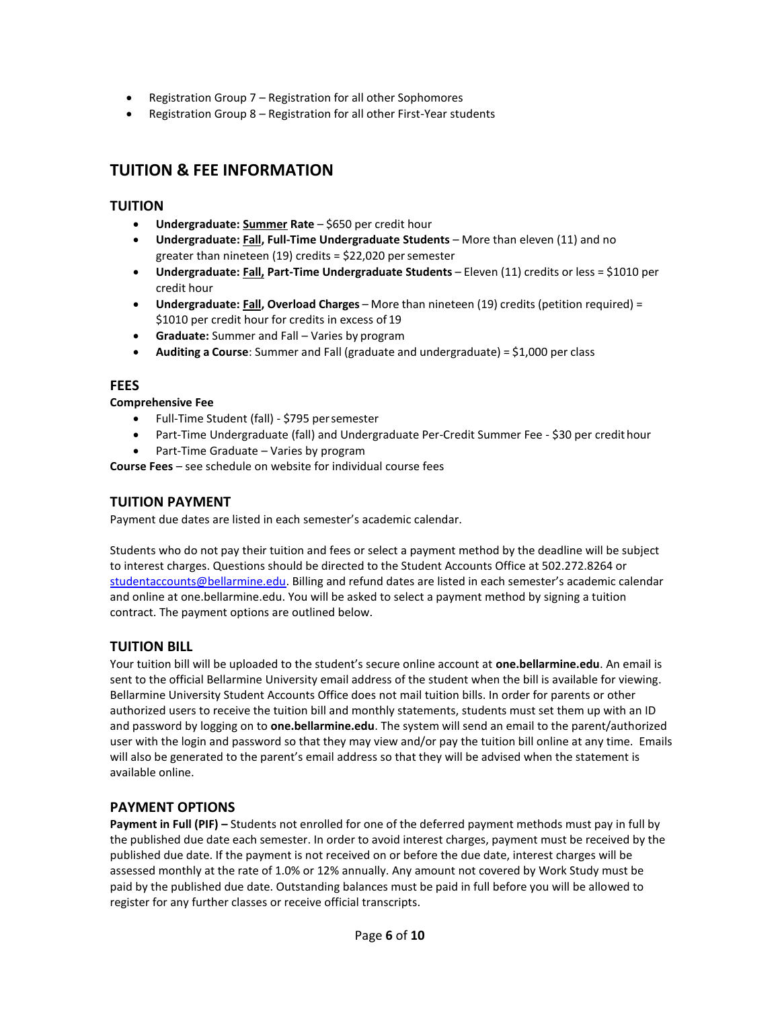- Registration Group 7 Registration for all other Sophomores
- Registration Group 8 Registration for all other First-Year students

# **TUITION & FEE INFORMATION**

# **TUITION**

- **Undergraduate: Summer Rate** \$650 per credit hour
- **Undergraduate: Fall, Full-Time Undergraduate Students** More than eleven (11) and no greater than nineteen (19) credits = \$22,020 persemester
- **Undergraduate: Fall, Part-Time Undergraduate Students** Eleven (11) credits or less = \$1010 per credit hour
- **Undergraduate: Fall, Overload Charges** More than nineteen (19) credits (petition required) = \$1010 per credit hour for credits in excess of 19
- **Graduate:** Summer and Fall Varies by program
- **Auditing a Course**: Summer and Fall (graduate and undergraduate) = \$1,000 per class

## **FEES**

#### **Comprehensive Fee**

- Full-Time Student (fall) \$795 persemester
- Part-Time Undergraduate (fall) and Undergraduate Per-Credit Summer Fee \$30 per credithour
- Part-Time Graduate Varies by program

**Course Fees** – see schedule on website for individual course fees

### **TUITION PAYMENT**

Payment due dates are listed in each semester's academic calendar.

Students who do not pay their tuition and fees or select a payment method by the deadline will be subject to interest charges. Questions should be directed to the Student Accounts Office at 502.272.8264 or [studentaccounts@bellarmine.edu.](mailto:bursar@bellarmine.edu) Billing and refund dates are listed in each semester's academic calendar and online at one.bellarmine.edu. You will be asked to select a payment method by signing a tuition contract. The payment options are outlined below.

# **TUITION BILL**

Your tuition bill will be uploaded to the student's secure online account at **one.bellarmine.edu**. An email is sent to the official Bellarmine University email address of the student when the bill is available for viewing. Bellarmine University Student Accounts Office does not mail tuition bills. In order for parents or other authorized users to receive the tuition bill and monthly statements, students must set them up with an ID and password by logging on to **one.bellarmine.edu**. The system will send an email to the parent/authorized user with the login and password so that they may view and/or pay the tuition bill online at any time. Emails will also be generated to the parent's email address so that they will be advised when the statement is available online.

# **PAYMENT OPTIONS**

**Payment in Full (PIF) –** Students not enrolled for one of the deferred payment methods must pay in full by the published due date each semester. In order to avoid interest charges, payment must be received by the published due date. If the payment is not received on or before the due date, interest charges will be assessed monthly at the rate of 1.0% or 12% annually. Any amount not covered by Work Study must be paid by the published due date. Outstanding balances must be paid in full before you will be allowed to register for any further classes or receive official transcripts.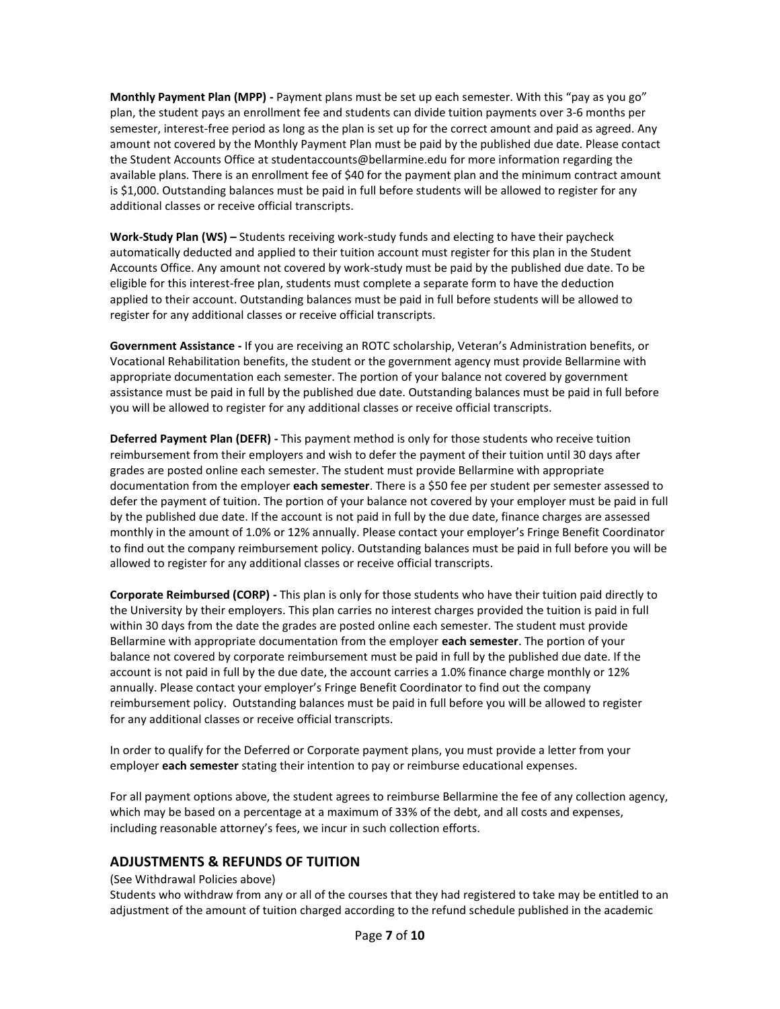**Monthly Payment Plan (MPP) -** Payment plans must be set up each semester. With this "pay as you go" plan, the student pays an enrollment fee and students can divide tuition payments over 3-6 months per semester, interest-free period as long as the plan is set up for the correct amount and paid as agreed. Any amount not covered by the Monthly Payment Plan must be paid by the published due date. Please contact the Student Accounts Office at [studentaccounts@bellarmine.edu](mailto:bursar@bellarmine.edu) for more information regarding the available plans. There is an enrollment fee of \$40 for the payment plan and the minimum contract amount is \$1,000. Outstanding balances must be paid in full before students will be allowed to register for any additional classes or receive official transcripts.

**Work-Study Plan (WS) –** Students receiving work-study funds and electing to have their paycheck automatically deducted and applied to their tuition account must register for this plan in the Student Accounts Office. Any amount not covered by work-study must be paid by the published due date. To be eligible for this interest-free plan, students must complete a separate form to have the deduction applied to their account. Outstanding balances must be paid in full before students will be allowed to register for any additional classes or receive official transcripts.

**Government Assistance -** If you are receiving an ROTC scholarship, Veteran's Administration benefits, or Vocational Rehabilitation benefits, the student or the government agency must provide Bellarmine with appropriate documentation each semester. The portion of your balance not covered by government assistance must be paid in full by the published due date. Outstanding balances must be paid in full before you will be allowed to register for any additional classes or receive official transcripts.

**Deferred Payment Plan (DEFR) -** This payment method is only for those students who receive tuition reimbursement from their employers and wish to defer the payment of their tuition until 30 days after grades are posted online each semester. The student must provide Bellarmine with appropriate documentation from the employer **each semester**. There is a \$50 fee per student per semester assessed to defer the payment of tuition. The portion of your balance not covered by your employer must be paid in full by the published due date. If the account is not paid in full by the due date, finance charges are assessed monthly in the amount of 1.0% or 12% annually. Please contact your employer's Fringe Benefit Coordinator to find out the company reimbursement policy. Outstanding balances must be paid in full before you will be allowed to register for any additional classes or receive official transcripts.

**Corporate Reimbursed (CORP) -** This plan is only for those students who have their tuition paid directly to the University by their employers. This plan carries no interest charges provided the tuition is paid in full within 30 days from the date the grades are posted online each semester. The student must provide Bellarmine with appropriate documentation from the employer **each semester**. The portion of your balance not covered by corporate reimbursement must be paid in full by the published due date. If the account is not paid in full by the due date, the account carries a 1.0% finance charge monthly or 12% annually. Please contact your employer's Fringe Benefit Coordinator to find out the company reimbursement policy. Outstanding balances must be paid in full before you will be allowed to register for any additional classes or receive official transcripts.

In order to qualify for the Deferred or Corporate payment plans, you must provide a letter from your employer **each semester** stating their intention to pay or reimburse educational expenses.

For all payment options above, the student agrees to reimburse Bellarmine the fee of any collection agency, which may be based on a percentage at a maximum of 33% of the debt, and all costs and expenses, including reasonable attorney's fees, we incur in such collection efforts.

#### **ADJUSTMENTS & REFUNDS OF TUITION**

#### (See Withdrawal Policies above)

Students who withdraw from any or all of the courses that they had registered to take may be entitled to an adjustment of the amount of tuition charged according to the refund schedule published in the academic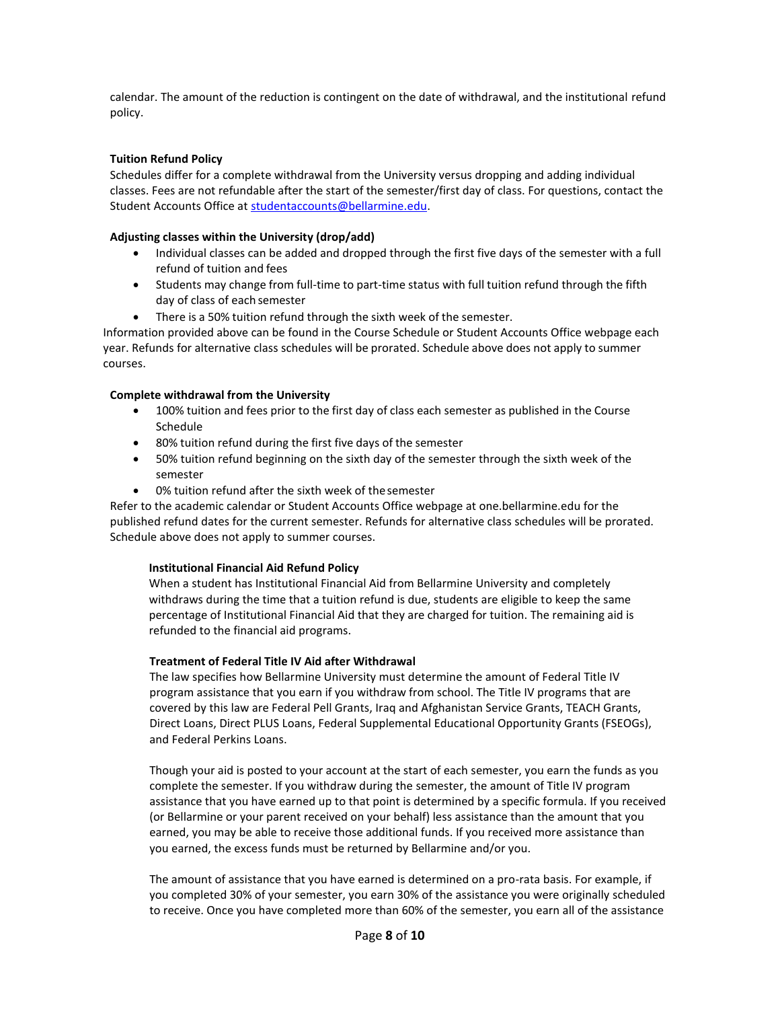calendar. The amount of the reduction is contingent on the date of withdrawal, and the institutional refund policy.

#### **Tuition Refund Policy**

Schedules differ for a complete withdrawal from the University versus dropping and adding individual classes. Fees are not refundable after the start of the semester/first day of class. For questions, contact the Student Accounts Office at [studentaccounts@bellarmine.edu.](mailto:bursar@bellarmine.edu)

#### **Adjusting classes within the University (drop/add)**

- Individual classes can be added and dropped through the first five days of the semester with a full refund of tuition and fees
- Students may change from full-time to part-time status with full tuition refund through the fifth day of class of each semester
- There is a 50% tuition refund through the sixth week of the semester.

Information provided above can be found in the Course Schedule or Student Accounts Office webpage each year. Refunds for alternative class schedules will be prorated. Schedule above does not apply to summer courses.

#### **Complete withdrawal from the University**

- 100% tuition and fees prior to the first day of class each semester as published in the Course Schedule
- 80% tuition refund during the first five days of the semester
- 50% tuition refund beginning on the sixth day of the semester through the sixth week of the semester
- 0% tuition refund after the sixth week of the semester

Refer to the academic calendar or Student Accounts Office webpage at one.bellarmine.edu for the published refund dates for the current semester. Refunds for alternative class schedules will be prorated. Schedule above does not apply to summer courses.

#### **Institutional Financial Aid Refund Policy**

When a student has Institutional Financial Aid from Bellarmine University and completely withdraws during the time that a tuition refund is due, students are eligible to keep the same percentage of Institutional Financial Aid that they are charged for tuition. The remaining aid is refunded to the financial aid programs.

#### **Treatment of Federal Title IV Aid after Withdrawal**

The law specifies how Bellarmine University must determine the amount of Federal Title IV program assistance that you earn if you withdraw from school. The Title IV programs that are covered by this law are Federal Pell Grants, Iraq and Afghanistan Service Grants, TEACH Grants, Direct Loans, Direct PLUS Loans, Federal Supplemental Educational Opportunity Grants (FSEOGs), and Federal Perkins Loans.

Though your aid is posted to your account at the start of each semester, you earn the funds as you complete the semester. If you withdraw during the semester, the amount of Title IV program assistance that you have earned up to that point is determined by a specific formula. If you received (or Bellarmine or your parent received on your behalf) less assistance than the amount that you earned, you may be able to receive those additional funds. If you received more assistance than you earned, the excess funds must be returned by Bellarmine and/or you.

The amount of assistance that you have earned is determined on a pro-rata basis. For example, if you completed 30% of your semester, you earn 30% of the assistance you were originally scheduled to receive. Once you have completed more than 60% of the semester, you earn all of the assistance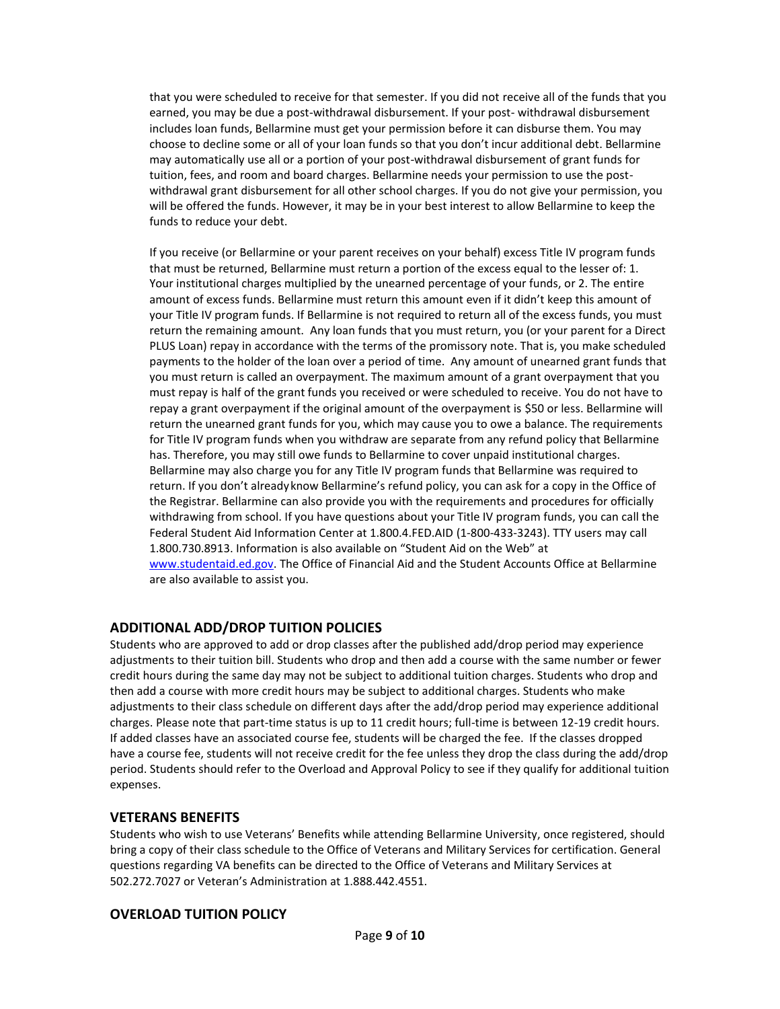that you were scheduled to receive for that semester. If you did not receive all of the funds that you earned, you may be due a post-withdrawal disbursement. If your post- withdrawal disbursement includes loan funds, Bellarmine must get your permission before it can disburse them. You may choose to decline some or all of your loan funds so that you don't incur additional debt. Bellarmine may automatically use all or a portion of your post-withdrawal disbursement of grant funds for tuition, fees, and room and board charges. Bellarmine needs your permission to use the postwithdrawal grant disbursement for all other school charges. If you do not give your permission, you will be offered the funds. However, it may be in your best interest to allow Bellarmine to keep the funds to reduce your debt.

If you receive (or Bellarmine or your parent receives on your behalf) excess Title IV program funds that must be returned, Bellarmine must return a portion of the excess equal to the lesser of: 1. Your institutional charges multiplied by the unearned percentage of your funds, or 2. The entire amount of excess funds. Bellarmine must return this amount even if it didn't keep this amount of your Title IV program funds. If Bellarmine is not required to return all of the excess funds, you must return the remaining amount. Any loan funds that you must return, you (or your parent for a Direct PLUS Loan) repay in accordance with the terms of the promissory note. That is, you make scheduled payments to the holder of the loan over a period of time. Any amount of unearned grant funds that you must return is called an overpayment. The maximum amount of a grant overpayment that you must repay is half of the grant funds you received or were scheduled to receive. You do not have to repay a grant overpayment if the original amount of the overpayment is \$50 or less. Bellarmine will return the unearned grant funds for you, which may cause you to owe a balance. The requirements for Title IV program funds when you withdraw are separate from any refund policy that Bellarmine has. Therefore, you may still owe funds to Bellarmine to cover unpaid institutional charges. Bellarmine may also charge you for any Title IV program funds that Bellarmine was required to return. If you don't alreadyknow Bellarmine's refund policy, you can ask for a copy in the Office of the Registrar. Bellarmine can also provide you with the requirements and procedures for officially withdrawing from school. If you have questions about your Title IV program funds, you can call the Federal Student Aid Information Center at 1.800.4.FED.AID (1-800-433-3243). TTY users may call 1.800.730.8913. Information is also available on "Student Aid on the Web" at [www.studentaid.ed.gov.](http://www.studentaid.ed.gov/) The Office of Financial Aid and the Student Accounts Office at Bellarmine are also available to assist you.

# **ADDITIONAL ADD/DROP TUITION POLICIES**

Students who are approved to add or drop classes after the published add/drop period may experience adjustments to their tuition bill. Students who drop and then add a course with the same number or fewer credit hours during the same day may not be subject to additional tuition charges. Students who drop and then add a course with more credit hours may be subject to additional charges. Students who make adjustments to their class schedule on different days after the add/drop period may experience additional charges. Please note that part-time status is up to 11 credit hours; full-time is between 12-19 credit hours. If added classes have an associated course fee, students will be charged the fee. If the classes dropped have a course fee, students will not receive credit for the fee unless they drop the class during the add/drop period. Students should refer to the Overload and Approval Policy to see if they qualify for additional tuition expenses.

#### **VETERANS BENEFITS**

Students who wish to use Veterans' Benefits while attending Bellarmine University, once registered, should bring a copy of their class schedule to the Office of Veterans and Military Services for certification. General questions regarding VA benefits can be directed to the Office of Veterans and Military Services at 502.272.7027 or Veteran's Administration at 1.888.442.4551.

# **OVERLOAD TUITION POLICY**